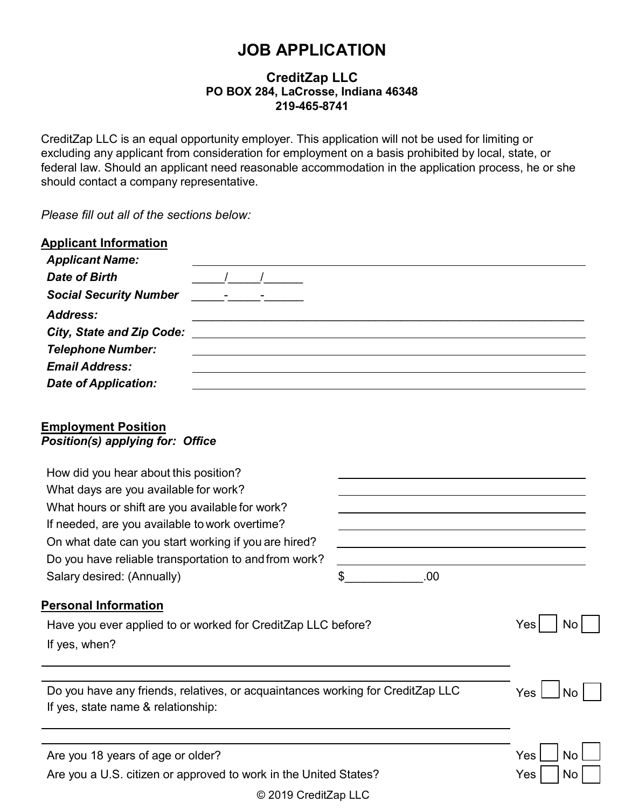# **JOB APPLICATION**

## **CreditZap LLC PO BOX 284, LaCrosse, Indiana 46348 219-465-8741**

CreditZap LLC is an equal opportunity employer. This application will not be used for limiting or excluding any applicant from consideration for employment on a basis prohibited by local, state, or federal law. Should an applicant need reasonable accommodation in the application process, he or she should contact a company representative.

*Please fill out all of the sections below:*

| <b>Applicant Information</b>                   |  |  |  |
|------------------------------------------------|--|--|--|
| <b>Applicant Name:</b><br><b>Date of Birth</b> |  |  |  |
| <b>Social Security Number</b>                  |  |  |  |
| Address:                                       |  |  |  |
| <b>City, State and Zip Code:</b>               |  |  |  |
| <b>Telephone Number:</b>                       |  |  |  |
| <b>Email Address:</b>                          |  |  |  |
| <b>Date of Application:</b>                    |  |  |  |
|                                                |  |  |  |
| <b>Employment Position</b>                     |  |  |  |
| <b>Position(s) applying for: Office</b>        |  |  |  |

| How did you hear about this position?                                          |           |                  |
|--------------------------------------------------------------------------------|-----------|------------------|
| What days are you available for work?                                          |           |                  |
| What hours or shift are you available for work?                                |           |                  |
| If needed, are you available to work overtime?                                 |           |                  |
| On what date can you start working if you are hired?                           |           |                  |
| Do you have reliable transportation to and from work?                          |           |                  |
| Salary desired: (Annually)                                                     | \$<br>.00 |                  |
| <b>Personal Information</b>                                                    |           |                  |
| Have you ever applied to or worked for CreditZap LLC before?                   |           | Yes<br>No        |
| If yes, when?                                                                  |           |                  |
|                                                                                |           |                  |
| Do you have any friends, relatives, or acquaintances working for CreditZap LLC |           | <b>Yes</b><br>No |
| If yes, state name & relationship:                                             |           |                  |
|                                                                                |           |                  |
| Are you 18 years of age or older?                                              |           | Yes<br>No        |
| Are you a U.S. citizen or approved to work in the United States?               |           | <b>Yes</b><br>No |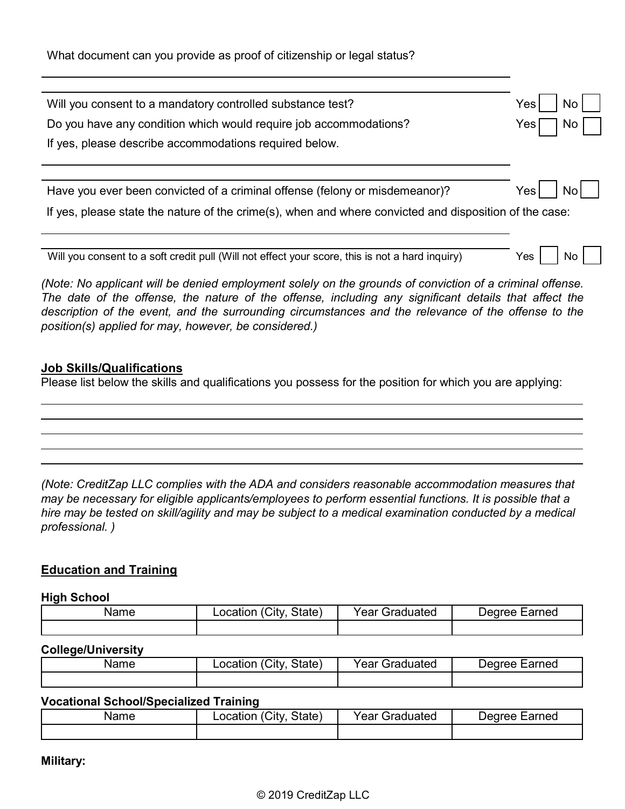What document can you provide as proof of citizenship or legal status?

| Will you consent to a mandatory controlled substance test?                                                                                                                                                                                                                                                                                                                        | Yes⊺<br>No. |
|-----------------------------------------------------------------------------------------------------------------------------------------------------------------------------------------------------------------------------------------------------------------------------------------------------------------------------------------------------------------------------------|-------------|
| Do you have any condition which would require job accommodations?                                                                                                                                                                                                                                                                                                                 | Yes         |
| If yes, please describe accommodations required below.                                                                                                                                                                                                                                                                                                                            |             |
|                                                                                                                                                                                                                                                                                                                                                                                   |             |
| Have you ever been convicted of a criminal offense (felony or misdemeanor)?                                                                                                                                                                                                                                                                                                       | Yes<br>Nol  |
| If yes, please state the nature of the crime(s), when and where convicted and disposition of the case:                                                                                                                                                                                                                                                                            |             |
|                                                                                                                                                                                                                                                                                                                                                                                   |             |
| Will you consent to a soft credit pull (Will not effect your score, this is not a hard inquiry)                                                                                                                                                                                                                                                                                   | Yes<br>No.  |
| (Note: No applicant will be denied employment solely on the grounds of conviction of a criminal offense.<br>The date of the offense, the nature of the offense, including any significant details that affect the<br>description of the event, and the surrounding circumstances and the relevance of the offense to the<br>position(s) applied for may, however, be considered.) |             |

### **Job Skills/Qualifications**

Please list below the skills and qualifications you possess for the position for which you are applying:

*(Note: CreditZap LLC complies with the ADA and considers reasonable accommodation measures that may be necessary for eligible applicants/employees to perform essential functions. It is possible that a hire may be tested on skill/agility and may be subject to a medical examination conducted by a medical professional. )*

# **Education and Training**

#### **High School**

| Name | `Citv∶<br>State,<br>_ocation | ∨aar<br>iraduated<br>еаг | arned<br>Jearee |
|------|------------------------------|--------------------------|-----------------|
|      |                              |                          |                 |

#### **College/University**

| Name | 'Citv.<br>State)<br>_ocation | Year<br>Graduated | Earned<br>⊃earee |
|------|------------------------------|-------------------|------------------|
|      |                              |                   |                  |

#### **Vocational School/Specialized Training**

| vame | $^{\circ}$ City<br>State <sub>1</sub><br>.ocation | rear<br>raduated<br>$\sim$ | Earned<br>Jearee |
|------|---------------------------------------------------|----------------------------|------------------|
|      |                                                   |                            |                  |

**Military:**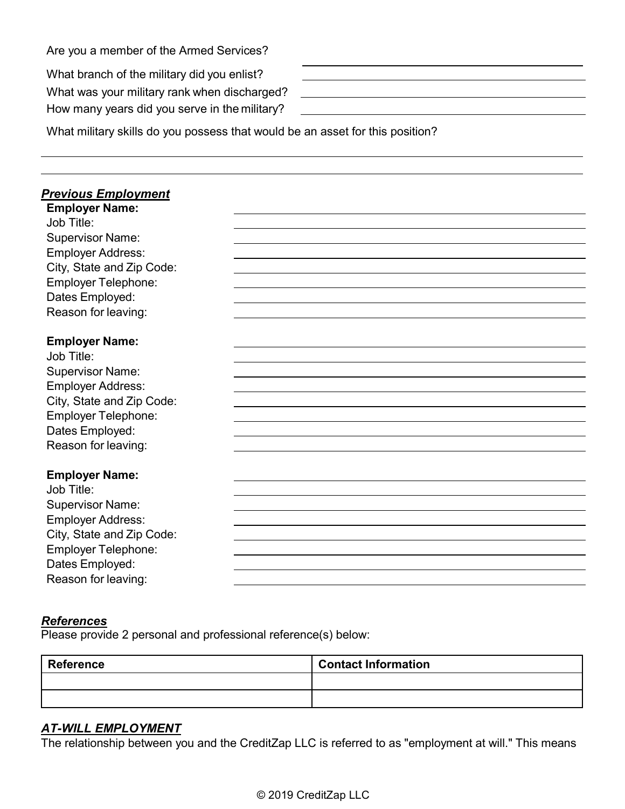|  | Are you a member of the Armed Services? |
|--|-----------------------------------------|
|--|-----------------------------------------|

What branch of the military did you enlist?

What was your military rank when discharged?

How many years did you serve in the military?

What military skills do you possess that would be an asset for this position?

| <b>Previous Employment</b> |  |
|----------------------------|--|
| <b>Employer Name:</b>      |  |
| Job Title:                 |  |
| <b>Supervisor Name:</b>    |  |
| <b>Employer Address:</b>   |  |
| City, State and Zip Code:  |  |
| <b>Employer Telephone:</b> |  |
| Dates Employed:            |  |
| Reason for leaving:        |  |
|                            |  |
| <b>Employer Name:</b>      |  |
| Job Title:                 |  |
| <b>Supervisor Name:</b>    |  |
| <b>Employer Address:</b>   |  |
| City, State and Zip Code:  |  |
| <b>Employer Telephone:</b> |  |
| Dates Employed:            |  |
| Reason for leaving:        |  |
|                            |  |
| <b>Employer Name:</b>      |  |
| Job Title:                 |  |
| <b>Supervisor Name:</b>    |  |
| <b>Employer Address:</b>   |  |
| City, State and Zip Code:  |  |
| <b>Employer Telephone:</b> |  |
| Dates Employed:            |  |
| Reason for leaving:        |  |

<u> 1989 - Johann Barbara, martin amerikan basal dan berasal dan berasal dalam basal dalam basal dalam basal dala</u>

## *References*

Please provide 2 personal and professional reference(s) below:

| <b>Reference</b> | <b>Contact Information</b> |
|------------------|----------------------------|
|                  |                            |
|                  |                            |

# *AT-WILL EMPLOYMENT*

The relationship between you and the CreditZap LLC is referred to as "employment at will." This means